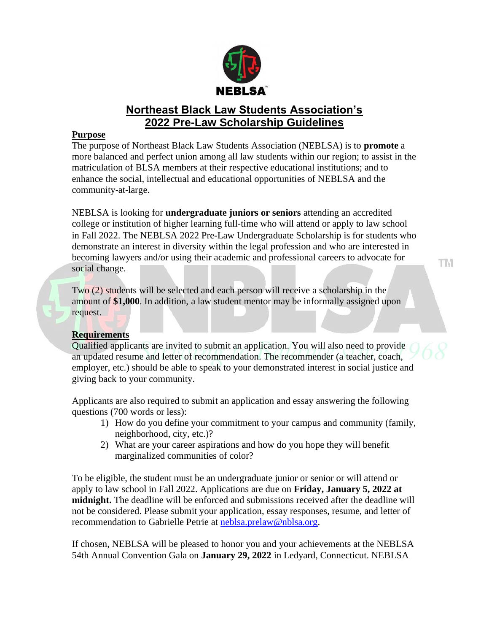

# **Northeast Black Law Students Association's 2022 Pre-Law Scholarship Guidelines**

### **Purpose**

The purpose of Northeast Black Law Students Association (NEBLSA) is to **promote** a more balanced and perfect union among all law students within our region; to assist in the matriculation of BLSA members at their respective educational institutions; and to enhance the social, intellectual and educational opportunities of NEBLSA and the community‐at‐large.

NEBLSA is looking for **undergraduate juniors or seniors** attending an accredited college or institution of higher learning full‐time who will attend or apply to law school in Fall 2022. The NEBLSA 2022 Pre-Law Undergraduate Scholarship is for students who demonstrate an interest in diversity within the legal profession and who are interested in becoming lawyers and/or using their academic and professional careers to advocate for social change.

Two (2) students will be selected and each person will receive a scholarship in the amount of **\$1,000**. In addition, a law student mentor may be informally assigned upon request.

## **Requirements**

Qualified applicants are invited to submit an application. You will also need to provide an updated resume and letter of recommendation. The recommender (a teacher, coach, employer, etc.) should be able to speak to your demonstrated interest in social justice and giving back to your community.

Applicants are also required to submit an application and essay answering the following questions (700 words or less):

- 1) How do you define your commitment to your campus and community (family, neighborhood, city, etc.)?
- 2) What are your career aspirations and how do you hope they will benefit marginalized communities of color?

To be eligible, the student must be an undergraduate junior or senior or will attend or apply to law school in Fall 2022. Applications are due on **Friday, January 5, 2022 at midnight.** The deadline will be enforced and submissions received after the deadline will not be considered. Please submit your application, essay responses, resume, and letter of recommendation to Gabrielle Petrie at [neblsa.prelaw@nblsa.org.](mailto:neblsa.prelaw@nblsa.org)

If chosen, NEBLSA will be pleased to honor you and your achievements at the NEBLSA 54th Annual Convention Gala on **January 29, 2022** in Ledyard, Connecticut. NEBLSA

TМ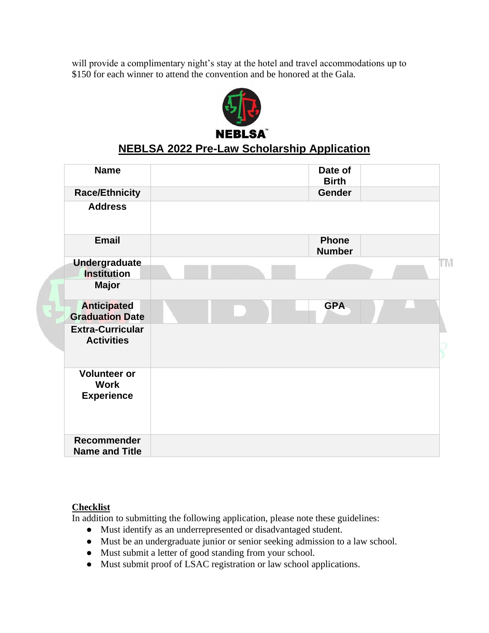will provide a complimentary night's stay at the hotel and travel accommodations up to \$150 for each winner to attend the convention and be honored at the Gala.



# **NEBLSA 2022 Pre-Law Scholarship Application**

| <b>Name</b>                                             |  | Date of<br><b>Birth</b>       |    |
|---------------------------------------------------------|--|-------------------------------|----|
| <b>Race/Ethnicity</b>                                   |  | <b>Gender</b>                 |    |
| <b>Address</b>                                          |  |                               |    |
| <b>Email</b>                                            |  | <b>Phone</b><br><b>Number</b> |    |
| <b>Undergraduate</b><br><b>Institution</b>              |  |                               | TΜ |
| <b>Major</b>                                            |  |                               |    |
| <b>Anticipated</b><br><b>Graduation Date</b>            |  | <b>GPA</b>                    |    |
| <b>Extra-Curricular</b><br><b>Activities</b>            |  |                               |    |
| <b>Volunteer or</b><br><b>Work</b><br><b>Experience</b> |  |                               |    |
| Recommender<br><b>Name and Title</b>                    |  |                               |    |

### **Checklist**

In addition to submitting the following application, please note these guidelines:

- Must identify as an underrepresented or disadvantaged student.
- Must be an undergraduate junior or senior seeking admission to a law school.
- Must submit a letter of good standing from your school.
- Must submit proof of LSAC registration or law school applications.